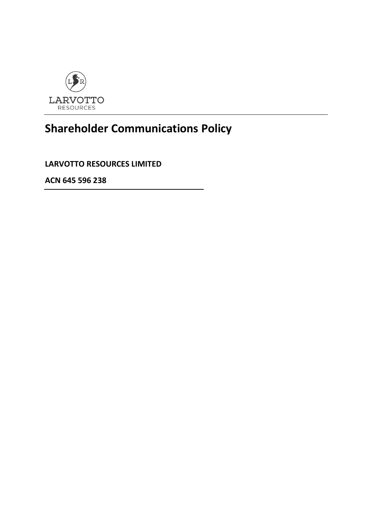

## **Shareholder Communications Policy**

**LARVOTTO RESOURCES LIMITED**

**ACN 645 596 238**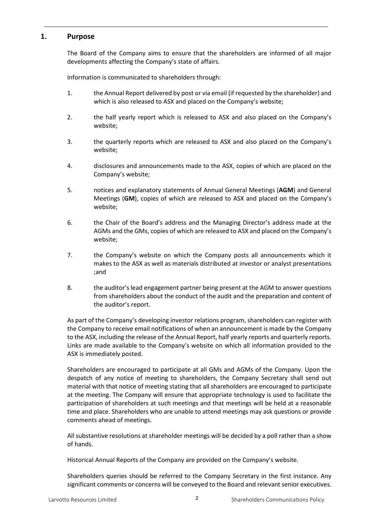## **1. Purpose**

The Board of the Company aims to ensure that the shareholders are informed of all major developments affecting the Company's state of affairs.

Information is communicated to shareholders through:

- 1. the Annual Report delivered by post or via email (if requested by the shareholder) and which is also released to ASX and placed on the Company's website;
- 2. the half yearly report which is released to ASX and also placed on the Company's website;
- 3. the quarterly reports which are released to ASX and also placed on the Company's website;
- 4. disclosures and announcements made to the ASX, copies of which are placed on the Company's website;
- 5. notices and explanatory statements of Annual General Meetings (**AGM**) and General Meetings (**GM**), copies of which are released to ASX and placed on the Company's website;
- 6. the Chair of the Board's address and the Managing Director's address made at the AGMs and the GMs, copies of which are released to ASX and placed on the Company's website;
- 7. the Company's website on which the Company posts all announcements which it makes to the ASX as well as materials distributed at investor or analyst presentations ;and
- 8. the auditor's lead engagement partner being present at the AGM to answer questions from shareholders about the conduct of the audit and the preparation and content of the auditor's report.

As part of the Company's developing investor relations program, shareholders can register with the Company to receive email notifications of when an announcement is made by the Company to the ASX, including the release of the Annual Report, half yearly reports and quarterly reports. Links are made available to the Company's website on which all information provided to the ASX is immediately posted.

Shareholders are encouraged to participate at all GMs and AGMs of the Company. Upon the despatch of any notice of meeting to shareholders, the Company Secretary shall send out material with that notice of meeting stating that all shareholders are encouraged to participate at the meeting. The Company will ensure that appropriate technology is used to facilitate the participation of shareholders at such meetings and that meetings will be held at a reasonable time and place. Shareholders who are unable to attend meetings may ask questions or provide comments ahead of meetings.

All substantive resolutions at shareholder meetings will be decided by a poll rather than a show of hands.

Historical Annual Reports of the Company are provided on the Company's website.

Shareholders queries should be referred to the Company Secretary in the first instance. Any significant comments or concerns will be conveyed to the Board and relevant senior executives.